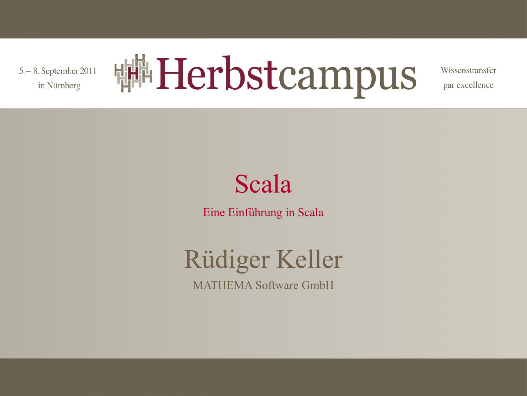5. - 8. September 2011 in Nürnberg



Wissenstransfer par excellence

#### Scala

Eine Einführung in Scala

#### Rüdiger Keller MATHEMA Software GmbH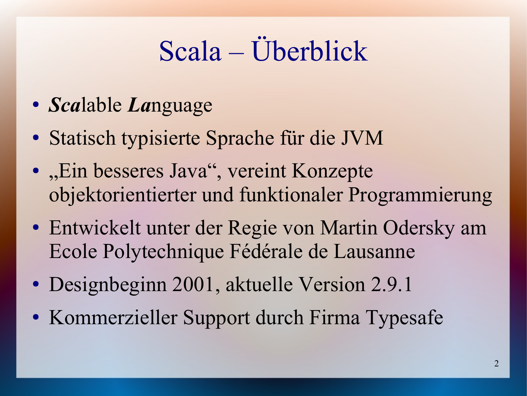# Scala – Überblick

- *Sca*lable *La*nguage
- Statisch typisierte Sprache für die JVM
- "Ein besseres Java", vereint Konzepte objektorientierter und funktionaler Programmierung
- Entwickelt unter der Regie von Martin Odersky am Ecole Polytechnique Fédérale de Lausanne
- Designbeginn 2001, aktuelle Version 2.9.1
- Kommerzieller Support durch Firma Typesafe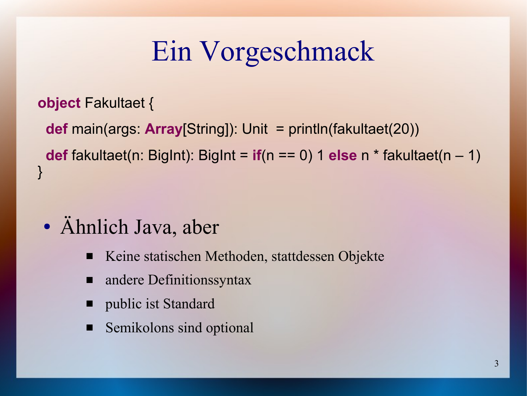## Ein Vorgeschmack

#### **object** Fakultaet {

 **def** main(args: **Array**[String]): Unit = println(fakultaet(20)) **def** fakultaet(n: BigInt): BigInt = **if**(n == 0) 1 **else** n \* fakultaet(n – 1) }

#### • Ähnlich Java, aber

- Keine statischen Methoden, stattdessen Objekte
- andere Definitions syntax
- public ist Standard
- Semikolons sind optional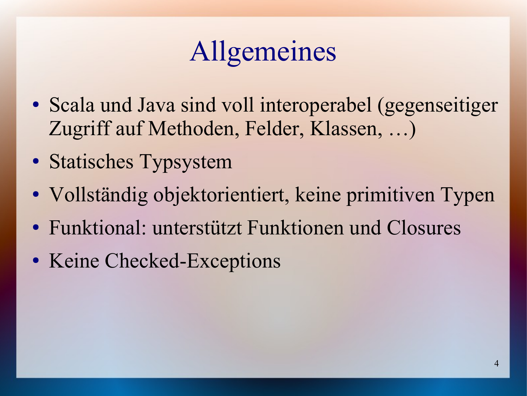## Allgemeines

- Scala und Java sind voll interoperabel (gegenseitiger Zugriff auf Methoden, Felder, Klassen, …)
- Statisches Typsystem
- Vollständig objektorientiert, keine primitiven Typen
- Funktional: unterstützt Funktionen und Closures
- Keine Checked-Exceptions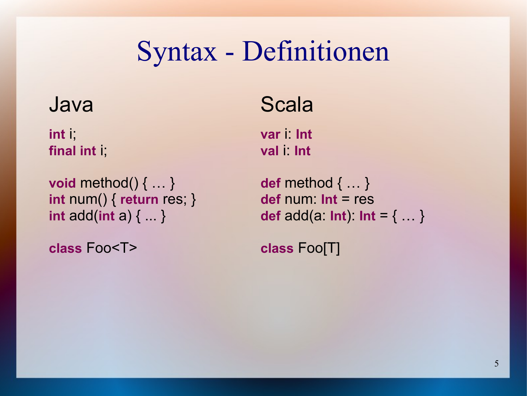#### Syntax - Definitionen

**int** i; **var** i: **Int final int** i; **val** i: **Int**

**void** method() { … } **def** method { … } **int** num() { **return** res; } **def** num: **Int** = res

**class** Foo<T> **class** Foo[T]

#### Java Scala

**int** add(**int** a)  $\{ ... \}$  **def** add(**a: Int**): **Int** =  $\{ ... \}$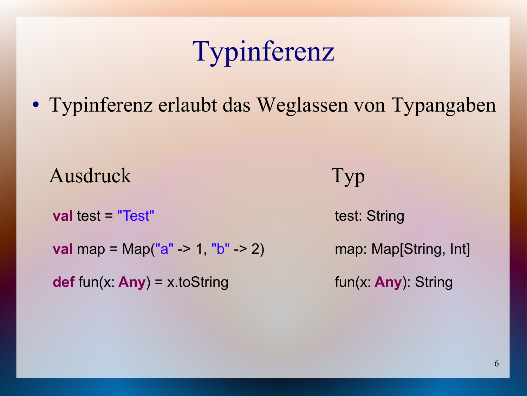### Typinferenz

• Typinferenz erlaubt das Weglassen von Typangaben

Ausdruck Typ

**val** test = "Test" test: String

**val** map = Map("a" -> 1, "b" -> 2) map: Map[String, Int]

**def** fun(x: **Any**) = x.toString fun(x: **Any**): String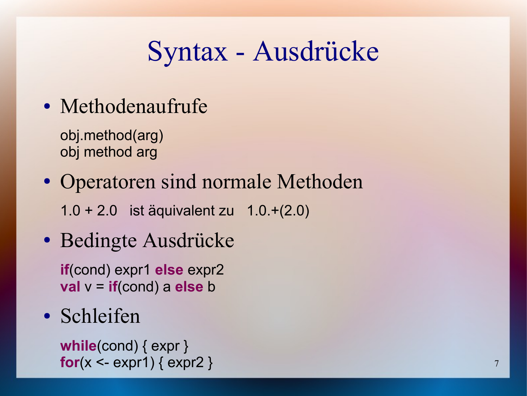### Syntax - Ausdrücke

• Methodenaufrufe

obj.method(arg) obj method arg

- Operatoren sind normale Methoden 1.0 + 2.0 ist äquivalent zu 1.0.+(2.0)
- Bedingte Ausdrücke

**if**(cond) expr1 **else** expr2 **val** v = **if**(cond) a **else** b

• Schleifen

**while**(cond) { expr }  $for(x < -exp r1)$  {  $exp r2$  }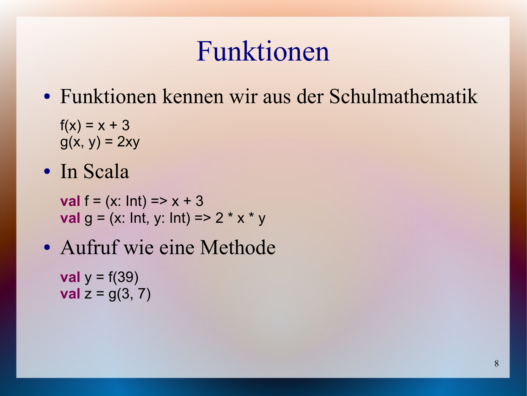#### Funktionen

• Funktionen kennen wir aus der Schulmathematik

 $f(x) = x + 3$  $g(x, y) = 2xy$ 

• In Scala

**val**  $f = (x: Int) = > x + 3$ **val**  $g = (x: Int, y: Int) = > 2 * x * y$ 

• Aufruf wie eine Methode

**val**  $y = f(39)$ **val**  $z = g(3, 7)$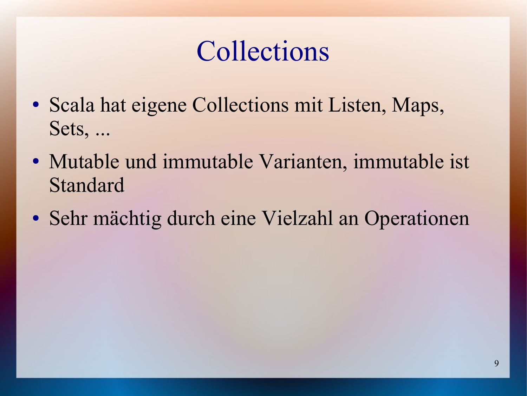# Collections

- Scala hat eigene Collections mit Listen, Maps, Sets, ...
- Mutable und immutable Varianten, immutable ist Standard
- Sehr mächtig durch eine Vielzahl an Operationen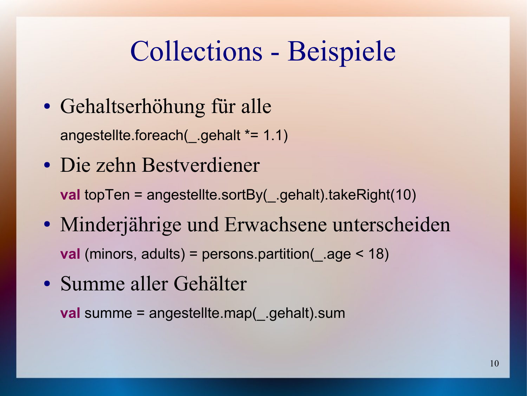#### Collections - Beispiele

- Gehaltserhöhung für alle angestellte.foreach(\_.gehalt \*= 1.1)
- Die zehn Bestverdiener

**val** topTen = angestellte.sortBy( .gehalt).takeRight(10)

- Minderjährige und Erwachsene unterscheiden **val** (minors, adults) = persons.partition(\_.age < 18)
- Summe aller Gehälter

**val** summe = angestellte.map( .gehalt).sum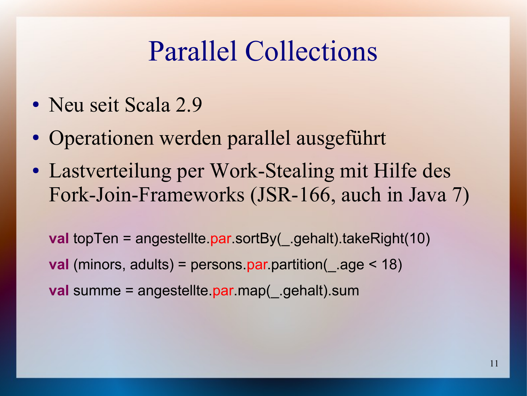#### Parallel Collections

- Neu seit Scala 2.9
- Operationen werden parallel ausgeführt
- Lastverteilung per Work-Stealing mit Hilfe des Fork-Join-Frameworks (JSR-166, auch in Java 7)

**val** topTen = angestellte.par.sortBy( .gehalt).takeRight(10) **val** (minors, adults) = persons par.partition( .age < 18) **val** summe = angestellte par map( gehalt) sum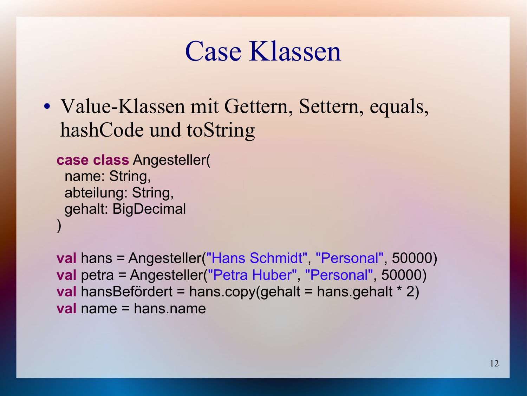#### Case Klassen

• Value-Klassen mit Gettern, Settern, equals, hashCode und toString

**case class** Angesteller( name: String, abteilung: String, gehalt: BigDecimal )

**val** hans = Angesteller("Hans Schmidt", "Personal", 50000) **val** petra = Angesteller("Petra Huber", "Personal", 50000) **val** hansBefördert = hans.copy(gehalt = hans.gehalt \* 2) **val** name = hans.name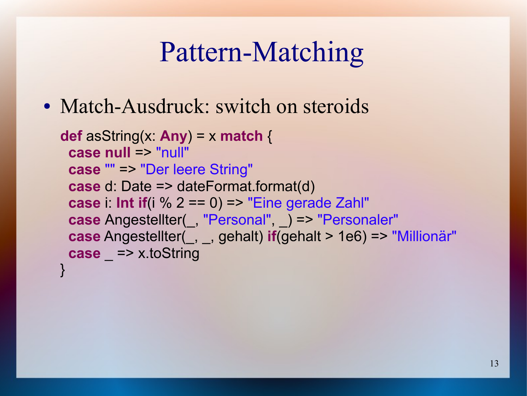## Pattern-Matching

• Match-Ausdruck: switch on steroids

```
def asString(x: Any) = x match {
  case null => "null"
  case "" => "Der leere String"
  case d: Date => dateFormat.format(d)
 case i: Int if(i \% 2 == 0) => "Eine gerade Zahl"
 case Angestellter(, "Personal", ) => "Personaler"
  case Angestellter(_, _, gehalt) if(gehalt > 1e6) => "Millionär"
 case => x.toString
}
```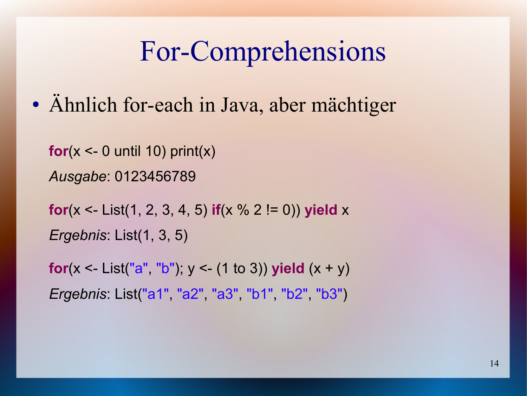#### For-Comprehensions

• Ähnlich for-each in Java, aber mächtiger

**for**( $x < -0$  until 10) print( $x$ ) *Ausgabe*: 0123456789

**for**(x <- List(1, 2, 3, 4, 5) **if**(x % 2 != 0)) **yield** x *Ergebnis*: List(1, 3, 5)

**for**( $x <$  List("a", "b");  $y <$  (1 to 3)) **yield**  $(x + y)$ *Ergebnis*: List("a1", "a2", "a3", "b1", "b2", "b3")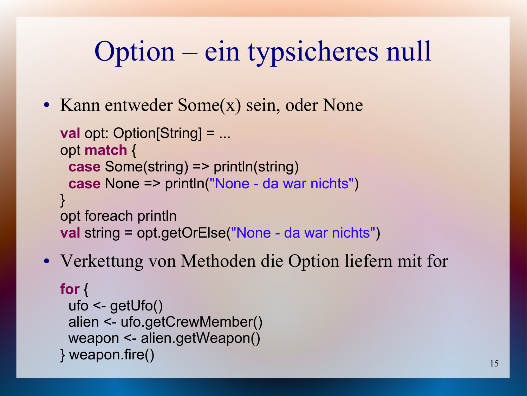# Option – ein typsicheres null

• Kann entweder Some(x) sein, oder None

```
val opt: Option[String] = ...
opt match {
  case Some(string) => println(string)
  case None => println("None - da war nichts")
}
opt foreach println
val string = opt.getOrElse("None - da war nichts")
```
• Verkettung von Methoden die Option liefern mit for

```
for {
  ufo <- getUfo()
  alien <- ufo.getCrewMember()
  weapon <- alien.getWeapon()
} weapon.fire()
```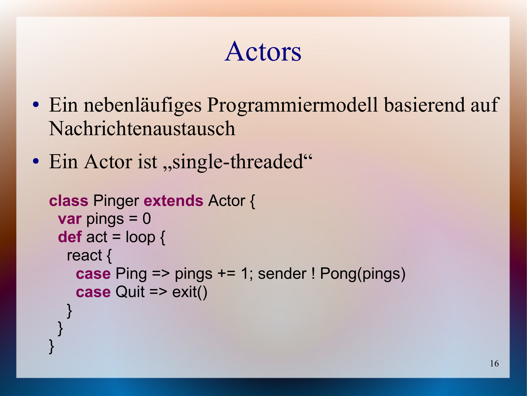#### Actors

- Ein nebenläufiges Programmiermodell basierend auf Nachrichtenaustausch
- Ein Actor ist, single-threaded"

}

}

```
class Pinger extends Actor {
  var pings = 0
  def act = loop {
  react {
    case Ping => pings += 1; sender ! Pong(pings)
    case Quit => exit()
 }
```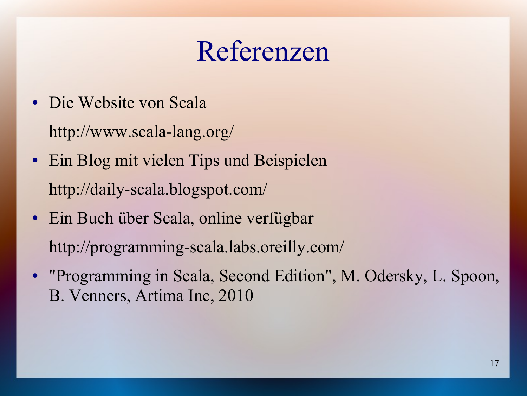#### Referenzen

- Die Website von Scala http://www.scala-lang.org/
- Ein Blog mit vielen Tips und Beispielen http://daily-scala.blogspot.com/
- Ein Buch über Scala, online verfügbar http://programming-scala.labs.oreilly.com/
- "Programming in Scala, Second Edition", M. Odersky, L. Spoon, B. Venners, Artima Inc, 2010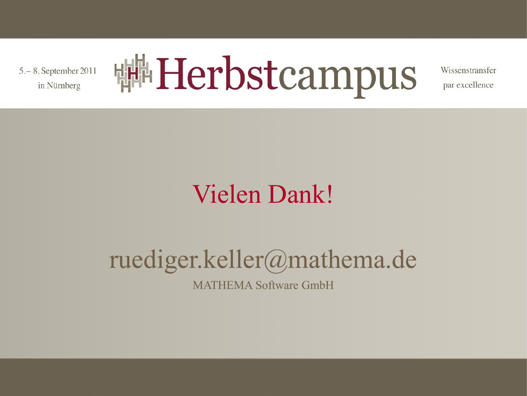5. - 8. September 2011 in Nürnberg



Wissenstransfer par excellence

#### Vielen Dank!

#### ruediger.keller@mathema.de

MATHEMA Software GmbH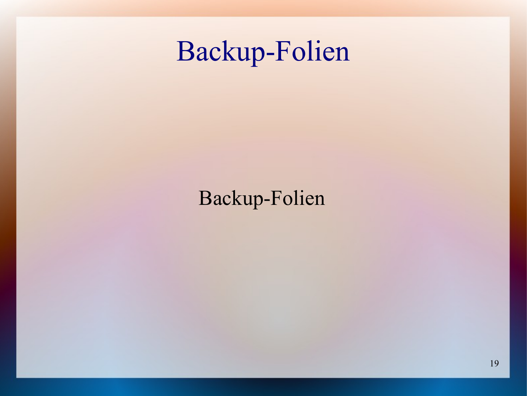#### Backup-Folien

#### Backup-Folien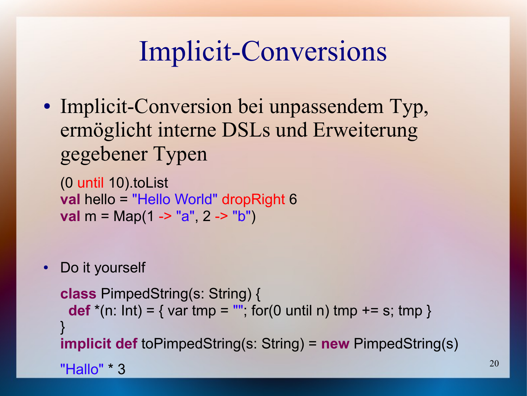## Implicit-Conversions

• Implicit-Conversion bei unpassendem Typ, ermöglicht interne DSLs und Erweiterung gegebener Typen

(0 until 10).toList **val** hello = "Hello World" dropRight 6 **val** m = Map(1 -> "a", 2 -> "b")

• Do it yourself

```
class PimpedString(s: String) {
 def *(n: Int) = \{ vartmp = "", for(0 until n) tmp += s; tmp \}}
implicit def toPimpedString(s: String) = new PimpedString(s)
"Hallo" * 3
```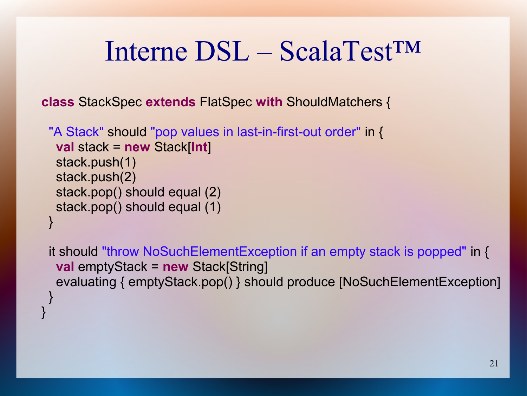#### Interne DSL – ScalaTest™

**class** StackSpec **extends** FlatSpec **with** ShouldMatchers {

```
 "A Stack" should "pop values in last-in-first-out order" in {
   val stack = new Stack[Int]
   stack.push(1)
   stack.push(2)
   stack.pop() should equal (2)
   stack.pop() should equal (1)
 }
```
}

 it should "throw NoSuchElementException if an empty stack is popped" in { **val** emptyStack = **new** Stack[String] evaluating { emptyStack.pop() } should produce [NoSuchElementException] }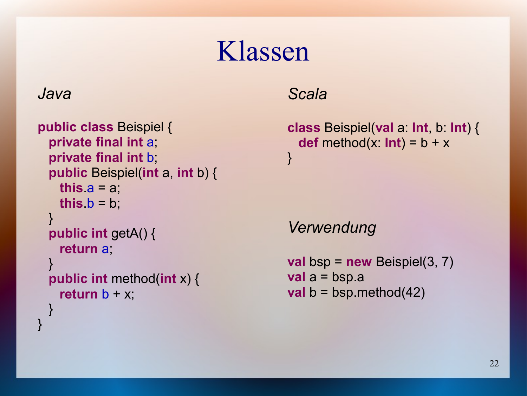#### Klassen

#### *Java*

}

```
public class Beispiel {
   private final int a;
   private final int b;
   public Beispiel(int a, int b) {
   this a = a;
    this b = b;
 }
   public int getA() {
     return a;
  }
   public int method(int x) {
    return b + x;
 }
```
*Scala*

**class** Beispiel(**val** a: **Int**, b: **Int**) { **def** method(x:  $Int$ ) =  $b + x$ }

*Verwendung*

**val** bsp =  $new$  Beispiel(3, 7) **val** a = bsp.a **val**  $b = b$ sp.method(42)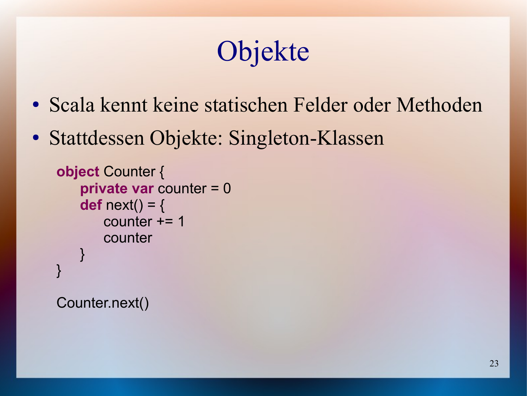# Objekte

- Scala kennt keine statischen Felder oder Methoden
- Stattdessen Objekte: Singleton-Klassen

```
object Counter {
   private var counter = 0
   def next() = {
       counter += 1counter
   }
}
```
Counter.next()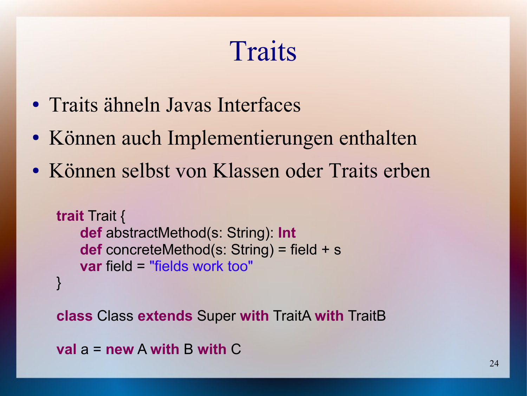# **Traits**

- Traits ähneln Javas Interfaces
- Können auch Implementierungen enthalten
- Können selbst von Klassen oder Traits erben

```
trait Trait {
   def abstractMethod(s: String): Int
   def concreteMethod(s: String) = field + s
   var field = "fields work too"
}
```
**class** Class **extends** Super **with** TraitA **with** TraitB

```
val a = new A with B with C
```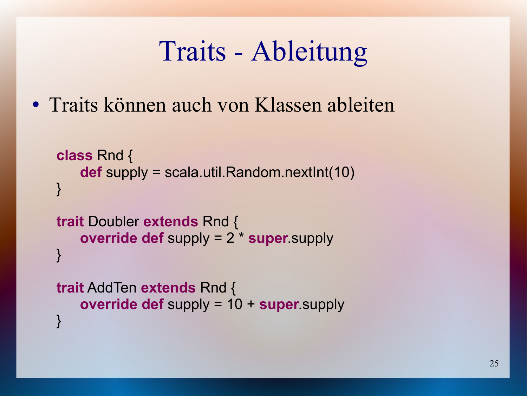#### Traits - Ableitung

• Traits können auch von Klassen ableiten

```
class Rnd {
   def supply = scala.util.Random.nextInt(10)
}
```

```
trait Doubler extends Rnd {
   override def supply = 2 * super.supply
}
```

```
trait AddTen extends Rnd {
   override def supply = 10 + super.supply
}
```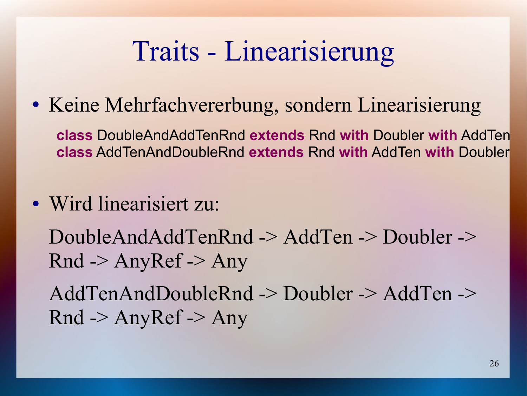#### Traits - Linearisierung

• Keine Mehrfachvererbung, sondern Linearisierung

**class** DoubleAndAddTenRnd **extends** Rnd **with** Doubler **with** AddTen **class** AddTenAndDoubleRnd **extends** Rnd **with** AddTen **with** Doubler

• Wird linearisiert zu:

DoubleAndAddTenRnd -> AddTen -> Doubler ->  $Rnd$  -> Any $Ref$  -> Any

AddTenAndDoubleRnd -> Doubler -> AddTen ->  $Rnd$  -> Any $Ref$  -> Any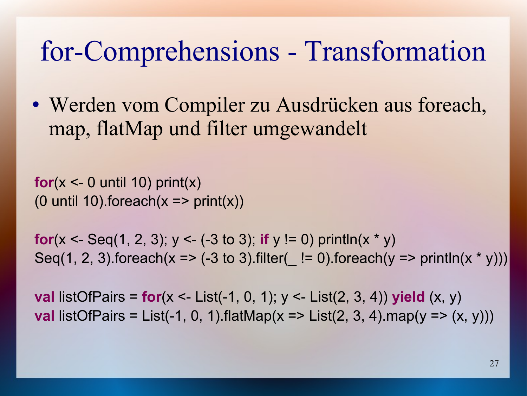#### for-Comprehensions - Transformation

• Werden vom Compiler zu Ausdrücken aus foreach, map, flatMap und filter umgewandelt

**for**( $x < -0$  until 10) print( $x$ ) (0 until 10).foreach( $x \Rightarrow$  print( $x$ ))

**for**(x <- Seq(1, 2, 3);  $y$  <- (-3 to 3); **if**  $y$  != 0) println(x  $*$   $y$ ) Seq(1, 2, 3).foreach(x =>  $(-3 \text{ to } 3)$ .filter(  $!= 0$ ).foreach(y => println(x \* y)))

**val** listOfPairs =  $for(x < -$  List(-1, 0, 1);  $y < -$  List(2, 3, 4)) **yield**  $(x, y)$ **val** listOfPairs = List(-1, 0, 1).flatMap(x => List(2, 3, 4).map(y =>  $(x, y)$ ))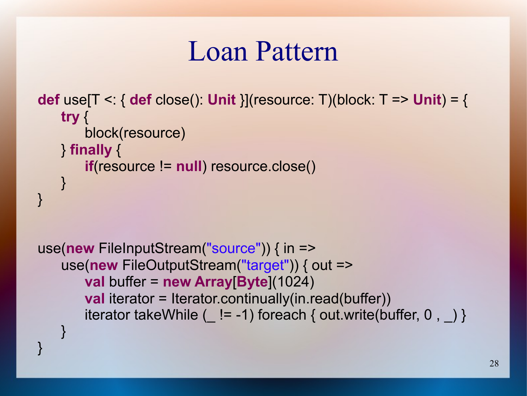#### Loan Pattern

```
def use[T <: { def close(): Unit }](resource: T)(block: T => Unit) = {
   try {
       block(resource)
   } finally {
       if(resource != null) resource.close()
    }
}
```

```
use(new FileInputStream("source")) { in =>
   use(new FileOutputStream("target")) { out =>
       val buffer = new Array[Byte](1024)
       val iterator = Iterator.continually(in.read(buffer))
       iterator takeWhile ( != -1) foreach { out.write(buffer, 0, ) }
   }
```
}